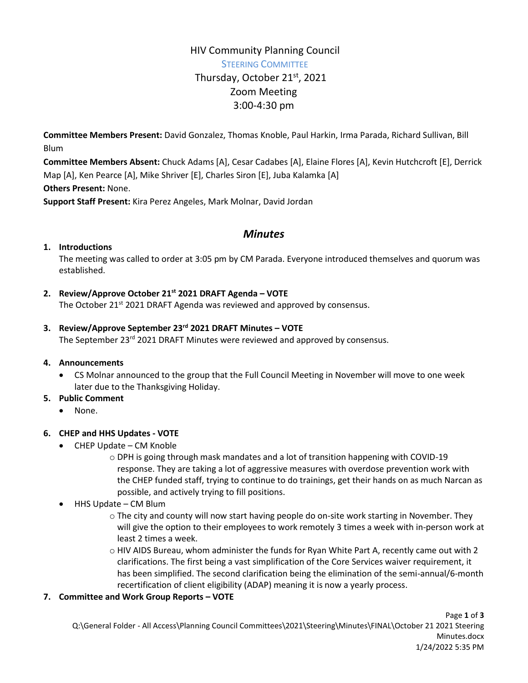# HIV Community Planning Council STEERING COMMITTEE Thursday, October 21<sup>st</sup>, 2021 Zoom Meeting 3:00-4:30 pm

**Committee Members Present:** David Gonzalez, Thomas Knoble, Paul Harkin, Irma Parada, Richard Sullivan, Bill Blum

**Committee Members Absent:** Chuck Adams [A], Cesar Cadabes [A], Elaine Flores [A], Kevin Hutchcroft [E], Derrick Map [A], Ken Pearce [A], Mike Shriver [E], Charles Siron [E], Juba Kalamka [A] **Others Present:** None.

**Support Staff Present:** Kira Perez Angeles, Mark Molnar, David Jordan

## *Minutes*

## **1. Introductions**

The meeting was called to order at 3:05 pm by CM Parada. Everyone introduced themselves and quorum was established.

## **2. Review/Approve October 21st 2021 DRAFT Agenda – VOTE**

The October 21<sup>st</sup> 2021 DRAFT Agenda was reviewed and approved by consensus.

## **3. Review/Approve September 23rd 2021 DRAFT Minutes – VOTE**

The September 23<sup>rd</sup> 2021 DRAFT Minutes were reviewed and approved by consensus.

#### **4. Announcements**

 CS Molnar announced to the group that the Full Council Meeting in November will move to one week later due to the Thanksgiving Holiday.

#### **5. Public Comment**

None.

#### **6. CHEP and HHS Updates - VOTE**

- CHEP Update CM Knoble
	- o DPH is going through mask mandates and a lot of transition happening with COVID-19 response. They are taking a lot of aggressive measures with overdose prevention work with the CHEP funded staff, trying to continue to do trainings, get their hands on as much Narcan as possible, and actively trying to fill positions.
- HHS Update CM Blum
	- o The city and county will now start having people do on-site work starting in November. They will give the option to their employees to work remotely 3 times a week with in-person work at least 2 times a week.
	- o HIV AIDS Bureau, whom administer the funds for Ryan White Part A, recently came out with 2 clarifications. The first being a vast simplification of the Core Services waiver requirement, it has been simplified. The second clarification being the elimination of the semi-annual/6-month recertification of client eligibility (ADAP) meaning it is now a yearly process.

#### **7. Committee and Work Group Reports – VOTE**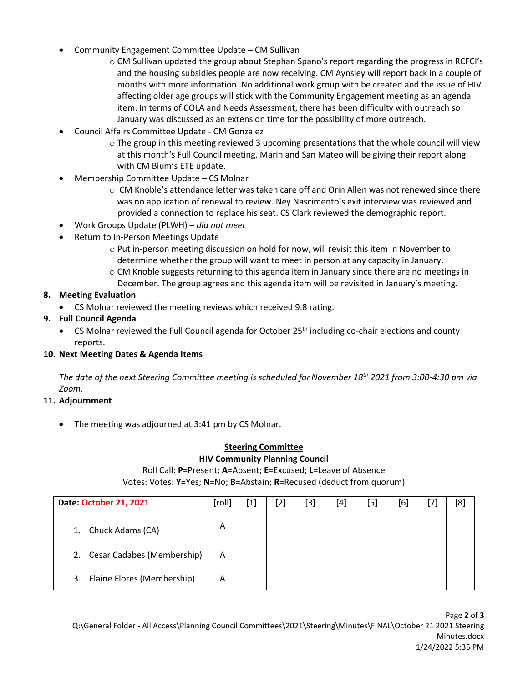- Community Engagement Committee Update CM Sullivan
	- o CM Sullivan updated the group about Stephan Spano's report regarding the progress in RCFCI's and the housing subsidies people are now receiving. CM Aynsley will report back in a couple of months with more information. No additional work group with be created and the issue of HIV affecting older age groups will stick with the Community Engagement meeting as an agenda item. In terms of COLA and Needs Assessment, there has been difficulty with outreach so January was discussed as an extension time for the possibility of more outreach.
- Council Affairs Committee Update CM Gonzalez
	- $\circ$  The group in this meeting reviewed 3 upcoming presentations that the whole council will view at this month's Full Council meeting. Marin and San Mateo will be giving their report along with CM Blum's ETE update.
- Membership Committee Update CS Molnar
	- o CM Knoble's attendance letter was taken care off and Orin Allen was not renewed since there was no application of renewal to review. Ney Nascimento's exit interview was reviewed and provided a connection to replace his seat. CS Clark reviewed the demographic report.
- Work Groups Update (PLWH) *did not meet*
- Return to In-Person Meetings Update
	- o Put in-person meeting discussion on hold for now, will revisit this item in November to determine whether the group will want to meet in person at any capacity in January.
	- o CM Knoble suggests returning to this agenda item in January since there are no meetings in December. The group agrees and this agenda item will be revisited in January's meeting.

#### **8. Meeting Evaluation**

CS Molnar reviewed the meeting reviews which received 9.8 rating.

## **9. Full Council Agenda**

• CS Molnar reviewed the Full Council agenda for October 25<sup>th</sup> including co-chair elections and county reports.

#### **10. Next Meeting Dates & Agenda Items**

*The date of the next Steering Committee meeting is scheduled forNovember 18th 2021 from 3:00-4:30 pm via Zoom.*

#### **11. Adjournment**

• The meeting was adjourned at 3:41 pm by CS Molnar.

## **Steering Committee**

#### **HIV Community Planning Council**

Roll Call: **P**=Present; **A**=Absent; **E**=Excused; **L**=Leave of Absence Votes: Votes: **Y=**Yes; **N**=No; **B**=Abstain; **R**=Recused (deduct from quorum)

| Date: October 21, 2021           | [roll] | $\left[ 1 \right]$ | [2] | [3] | [4] | [5] | [6] | [8] |
|----------------------------------|--------|--------------------|-----|-----|-----|-----|-----|-----|
| Chuck Adams (CA)                 | A      |                    |     |     |     |     |     |     |
| 2. Cesar Cadabes (Membership)    | A      |                    |     |     |     |     |     |     |
| Elaine Flores (Membership)<br>3. | Α      |                    |     |     |     |     |     |     |